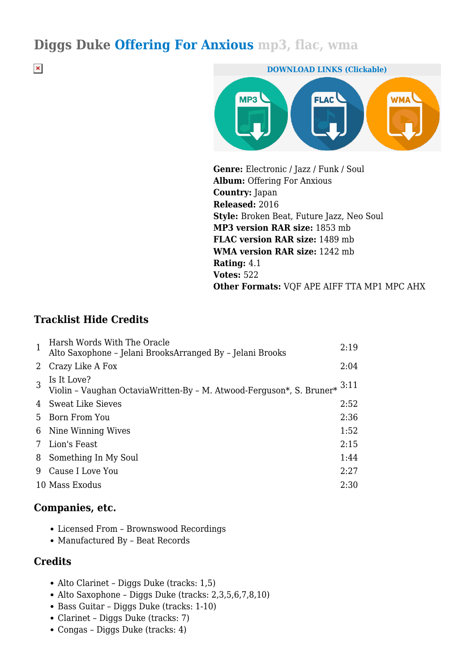## **Diggs Duke Offering For Anxious mp3, flac, wma**

 $\pmb{\times}$ 



**Genre:** Electronic / Jazz / Funk / Soul **Album:** Offering For Anxious **Country:** Japan **Released:** 2016 **Style:** Broken Beat, Future Jazz, Neo Soul **MP3 version RAR size:** 1853 mb **FLAC version RAR size:** 1489 mb **WMA version RAR size:** 1242 mb **Rating:** 4.1 **Votes:** 522 **Other Formats:** VQF APE AIFF TTA MP1 MPC AHX

## **Tracklist Hide Credits**

| $\mathbf{1}$ | Harsh Words With The Oracle<br>Alto Saxophone - Jelani BrooksArranged By - Jelani Brooks                                 | 2:19 |
|--------------|--------------------------------------------------------------------------------------------------------------------------|------|
| 2            | Crazy Like A Fox                                                                                                         | 2:04 |
| 3            | Is It Love?<br>Violin - Vaughan Octavia<br>Written-By - M. Atwood-Ferguson*, S. Bruner<br>* $\ensuremath{\mathrm{3:11}}$ |      |
|              | 4 Sweat Like Sieves                                                                                                      | 2:52 |
| 5.           | Born From You                                                                                                            | 2:36 |
| 6            | Nine Winning Wives                                                                                                       | 1:52 |
| 7            | Lion's Feast                                                                                                             | 2:15 |
| 8            | Something In My Soul                                                                                                     | 1:44 |
| 9            | Cause I Love You                                                                                                         | 2:27 |
|              | 10 Mass Exodus                                                                                                           | 2:30 |

#### **Companies, etc.**

- Licensed From Brownswood Recordings
- Manufactured By Beat Records

#### **Credits**

- Alto Clarinet Diggs Duke (tracks: 1,5)
- Alto Saxophone Diggs Duke (tracks: 2,3,5,6,7,8,10)
- Bass Guitar Diggs Duke (tracks: 1-10)
- Clarinet Diggs Duke (tracks: 7)
- Congas Diggs Duke (tracks: 4)